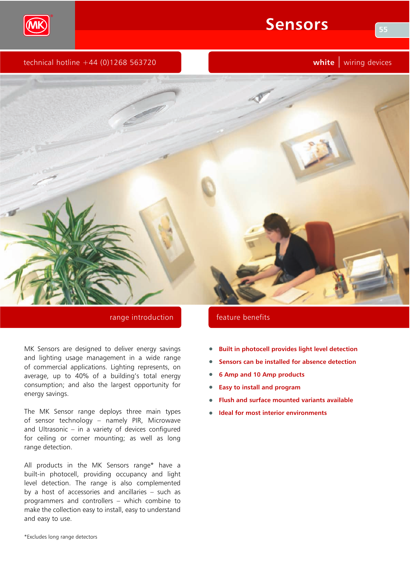

### technical hotline  $+44$  (0)1268 563720



### range introduction **feature** benefits

MK Sensors are designed to deliver energy savings and lighting usage management in a wide range of commercial applications. Lighting represents, on average, up to 40% of a building's total energy consumption; and also the largest opportunity for energy savings.

The MK Sensor range deploys three main types of sensor technology - namely PIR, Microwave and Ultrasonic – in a variety of devices configured for ceiling or corner mounting; as well as long range detection.

All products in the MK Sensors range\* have a built-in photocell, providing occupancy and light level detection. The range is also complemented by a host of accessories and ancillaries  $-$  such as programmers and controllers – which combine to make the collection easy to install, easy to understand and easy to use.

- Built in photocell provides light level detection
- Sensors can be installed for absence detection
- 6 Amp and 10 Amp products
- Easy to install and program
- Flush and surface mounted variants available
- $\bullet$  Ideal for most interior environments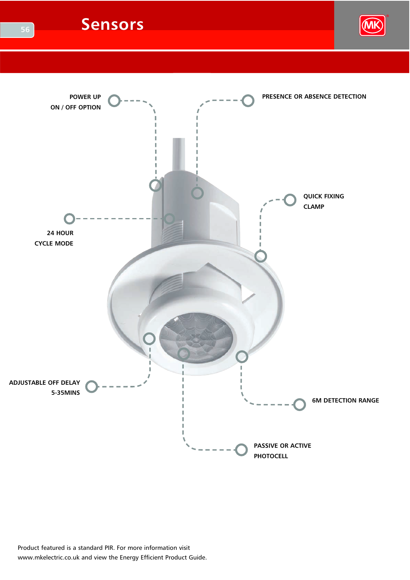

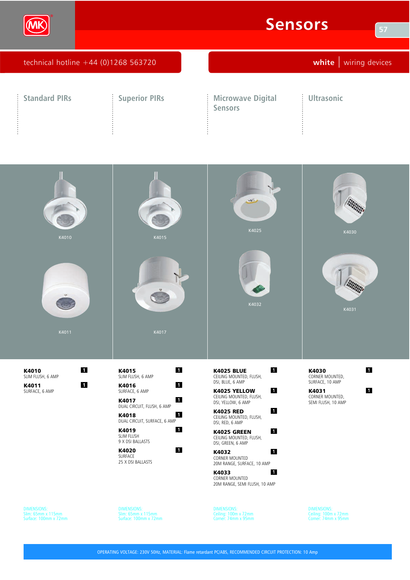

| technical hotline +44 (0)1268 563720         | wiring devices<br>white                                         |
|----------------------------------------------|-----------------------------------------------------------------|
| <b>Standard PIRs</b><br><b>Superior PIRs</b> | <b>Ultrasonic</b><br><b>Microwave Digital</b><br><b>Sensors</b> |



DIMENSIONS:<br>Slim: 65mm x 115mm<br>Surface: 100mm x 72mr

DIMENSIONS:<br>Slim: 65mm x 115mm<br>Surface: 100mm x 72mr

DIMENSIONS:<br>Ceiling: 100m x 72mn<br>Corner: 74mm x 95mr

DIMENSIONS:<br>Ceiling: 100m x 72mn<br>Corner: 74mm x 95mr